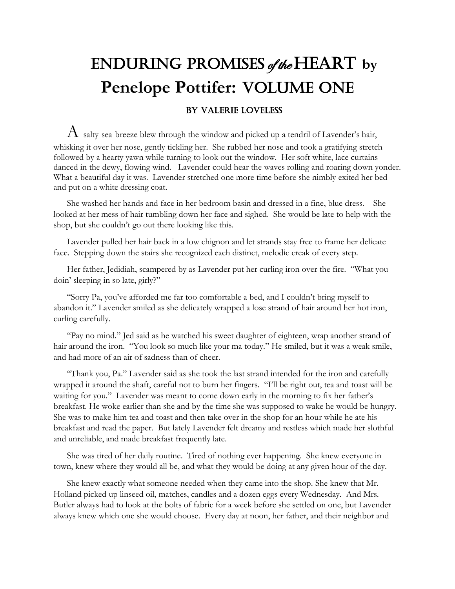## Enduring Promises of the Heart **by Penelope Pottifer: VOLUME ONE** By Valerie Loveless

 $A$  salty sea breeze blew through the window and picked up a tendril of Lavender's hair, whisking it over her nose, gently tickling her. She rubbed her nose and took a gratifying stretch followed by a hearty yawn while turning to look out the window. Her soft white, lace curtains danced in the dewy, flowing wind. Lavender could hear the waves rolling and roaring down yonder. What a beautiful day it was. Lavender stretched one more time before she nimbly exited her bed and put on a white dressing coat.

She washed her hands and face in her bedroom basin and dressed in a fine, blue dress. She looked at her mess of hair tumbling down her face and sighed. She would be late to help with the shop, but she couldn't go out there looking like this.

Lavender pulled her hair back in a low chignon and let strands stay free to frame her delicate face. Stepping down the stairs she recognized each distinct, melodic creak of every step.

Her father, Jedidiah, scampered by as Lavender put her curling iron over the fire. "What you doin' sleeping in so late, girly?"

"Sorry Pa, you've afforded me far too comfortable a bed, and I couldn't bring myself to abandon it." Lavender smiled as she delicately wrapped a lose strand of hair around her hot iron, curling carefully.

"Pay no mind." Jed said as he watched his sweet daughter of eighteen, wrap another strand of hair around the iron. "You look so much like your ma today." He smiled, but it was a weak smile, and had more of an air of sadness than of cheer.

"Thank you, Pa." Lavender said as she took the last strand intended for the iron and carefully wrapped it around the shaft, careful not to burn her fingers. "I'll be right out, tea and toast will be waiting for you." Lavender was meant to come down early in the morning to fix her father's breakfast. He woke earlier than she and by the time she was supposed to wake he would be hungry. She was to make him tea and toast and then take over in the shop for an hour while he ate his breakfast and read the paper. But lately Lavender felt dreamy and restless which made her slothful and unreliable, and made breakfast frequently late.

She was tired of her daily routine. Tired of nothing ever happening. She knew everyone in town, knew where they would all be, and what they would be doing at any given hour of the day.

She knew exactly what someone needed when they came into the shop. She knew that Mr. Holland picked up linseed oil, matches, candles and a dozen eggs every Wednesday. And Mrs. Butler always had to look at the bolts of fabric for a week before she settled on one, but Lavender always knew which one she would choose. Every day at noon, her father, and their neighbor and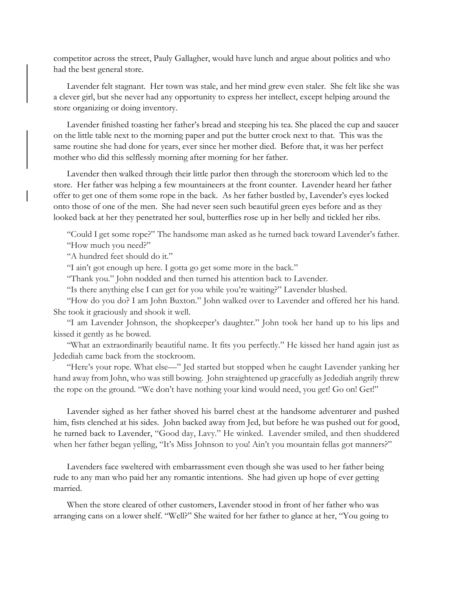competitor across the street, Pauly Gallagher, would have lunch and argue about politics and who had the best general store.

Lavender felt stagnant. Her town was stale, and her mind grew even staler. She felt like she was a clever girl, but she never had any opportunity to express her intellect, except helping around the store organizing or doing inventory.

Lavender finished toasting her father's bread and steeping his tea. She placed the cup and saucer on the little table next to the morning paper and put the butter crock next to that. This was the same routine she had done for years, ever since her mother died. Before that, it was her perfect mother who did this selflessly morning after morning for her father.

Lavender then walked through their little parlor then through the storeroom which led to the store. Her father was helping a few mountaineers at the front counter. Lavender heard her father offer to get one of them some rope in the back. As her father bustled by, Lavender's eyes locked onto those of one of the men. She had never seen such beautiful green eyes before and as they looked back at her they penetrated her soul, butterflies rose up in her belly and tickled her ribs.

"Could I get some rope?" The handsome man asked as he turned back toward Lavender's father. "How much you need?"

"A hundred feet should do it."

"I ain't got enough up here. I gotta go get some more in the back."

"Thank you." John nodded and then turned his attention back to Lavender.

"Is there anything else I can get for you while you're waiting?" Lavender blushed.

"How do you do? I am John Buxton." John walked over to Lavender and offered her his hand. She took it graciously and shook it well.

"I am Lavender Johnson, the shopkeeper's daughter." John took her hand up to his lips and kissed it gently as he bowed.

"What an extraordinarily beautiful name. It fits you perfectly." He kissed her hand again just as Jedediah came back from the stockroom.

"Here's your rope. What else—" Jed started but stopped when he caught Lavender yanking her hand away from John, who was still bowing. John straightened up gracefully as Jedediah angrily threw the rope on the ground. "We don't have nothing your kind would need, you get! Go on! Get!"

Lavender sighed as her father shoved his barrel chest at the handsome adventurer and pushed him, fists clenched at his sides. John backed away from Jed, but before he was pushed out for good, he turned back to Lavender, "Good day, Lavy." He winked. Lavender smiled, and then shuddered when her father began yelling, "It's Miss Johnson to you! Ain't you mountain fellas got manners?"

Lavenders face sweltered with embarrassment even though she was used to her father being rude to any man who paid her any romantic intentions. She had given up hope of ever getting married.

When the store cleared of other customers, Lavender stood in front of her father who was arranging cans on a lower shelf. "Well?" She waited for her father to glance at her, "You going to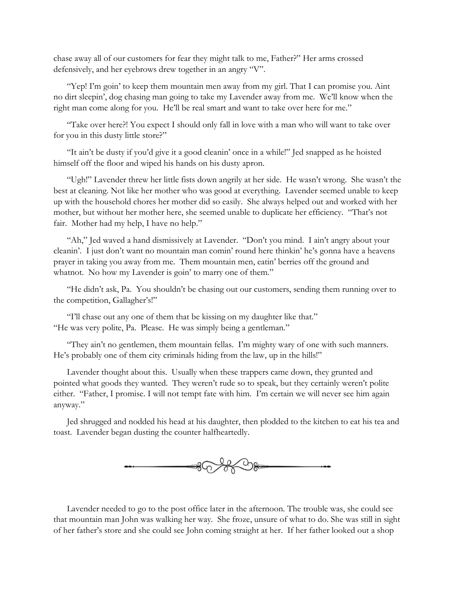chase away all of our customers for fear they might talk to me, Father?" Her arms crossed defensively, and her eyebrows drew together in an angry "V".

"Yep! I'm goin' to keep them mountain men away from my girl. That I can promise you. Aint no dirt sleepin', dog chasing man going to take my Lavender away from me. We'll know when the right man come along for you. He'll be real smart and want to take over here for me."

"Take over here?! You expect I should only fall in love with a man who will want to take over for you in this dusty little store?"

"It ain't be dusty if you'd give it a good cleanin' once in a while!" Jed snapped as he hoisted himself off the floor and wiped his hands on his dusty apron.

"Ugh!" Lavender threw her little fists down angrily at her side. He wasn't wrong. She wasn't the best at cleaning. Not like her mother who was good at everything. Lavender seemed unable to keep up with the household chores her mother did so easily. She always helped out and worked with her mother, but without her mother here, she seemed unable to duplicate her efficiency. "That's not fair. Mother had my help, I have no help."

"Ah," Jed waved a hand dismissively at Lavender. "Don't you mind. I ain't angry about your cleanin'. I just don't want no mountain man comin' round here thinkin' he's gonna have a heavens prayer in taking you away from me. Them mountain men, eatin' berries off the ground and whatnot. No how my Lavender is goin' to marry one of them."

"He didn't ask, Pa. You shouldn't be chasing out our customers, sending them running over to the competition, Gallagher's!"

"I'll chase out any one of them that be kissing on my daughter like that." "He was very polite, Pa. Please. He was simply being a gentleman."

"They ain't no gentlemen, them mountain fellas. I'm mighty wary of one with such manners. He's probably one of them city criminals hiding from the law, up in the hills!"

Lavender thought about this. Usually when these trappers came down, they grunted and pointed what goods they wanted. They weren't rude so to speak, but they certainly weren't polite either. "Father, I promise. I will not tempt fate with him. I'm certain we will never see him again anyway."

Jed shrugged and nodded his head at his daughter, then plodded to the kitchen to eat his tea and toast. Lavender began dusting the counter halfheartedly.



Lavender needed to go to the post office later in the afternoon. The trouble was, she could see that mountain man John was walking her way. She froze, unsure of what to do. She was still in sight of her father's store and she could see John coming straight at her. If her father looked out a shop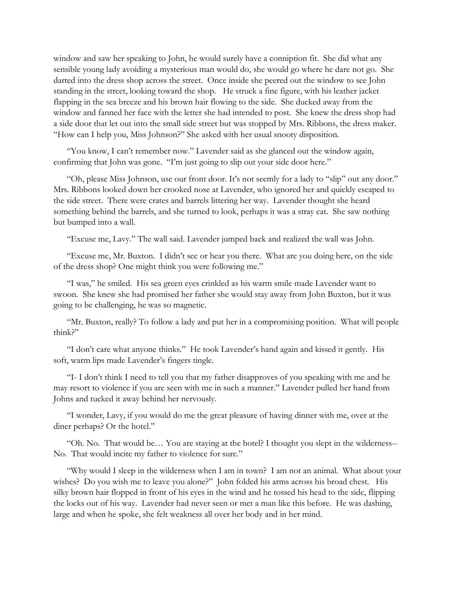window and saw her speaking to John, he would surely have a conniption fit. She did what any sensible young lady avoiding a mysterious man would do, she would go where he dare not go. She darted into the dress shop across the street. Once inside she peered out the window to see John standing in the street, looking toward the shop. He struck a fine figure, with his leather jacket flapping in the sea breeze and his brown hair flowing to the side. She ducked away from the window and fanned her face with the letter she had intended to post. She knew the dress shop had a side door that let out into the small side street but was stopped by Mrs. Ribbons, the dress maker. "How can I help you, Miss Johnson?" She asked with her usual snooty disposition.

"You know, I can't remember now." Lavender said as she glanced out the window again, confirming that John was gone. "I'm just going to slip out your side door here."

"Oh, please Miss Johnson, use our front door. It's not seemly for a lady to "slip" out any door." Mrs. Ribbons looked down her crooked nose at Lavender, who ignored her and quickly escaped to the side street. There were crates and barrels littering her way. Lavender thought she heard something behind the barrels, and she turned to look, perhaps it was a stray cat. She saw nothing but bumped into a wall.

"Excuse me, Lavy." The wall said. Lavender jumped back and realized the wall was John.

"Excuse me, Mr. Buxton. I didn't see or hear you there. What are you doing here, on the side of the dress shop? One might think you were following me."

"I was," he smiled. His sea green eyes crinkled as his warm smile made Lavender want to swoon. She knew she had promised her father she would stay away from John Buxton, but it was going to be challenging, he was so magnetic.

"Mr. Buxton, really? To follow a lady and put her in a compromising position. What will people think?"

"I don't care what anyone thinks." He took Lavender's hand again and kissed it gently. His soft, warm lips made Lavender's fingers tingle.

"I- I don't think I need to tell you that my father disapproves of you speaking with me and he may resort to violence if you are seen with me in such a manner." Lavender pulled her hand from Johns and tucked it away behind her nervously.

"I wonder, Lavy, if you would do me the great pleasure of having dinner with me, over at the diner perhaps? Or the hotel."

"Oh. No. That would be… You are staying at the hotel? I thought you slept in the wilderness-- No. That would incite my father to violence for sure."

"Why would I sleep in the wilderness when I am in town? I am not an animal. What about your wishes? Do you wish me to leave you alone?" John folded his arms across his broad chest. His silky brown hair flopped in front of his eyes in the wind and he tossed his head to the side, flipping the locks out of his way. Lavender had never seen or met a man like this before. He was dashing, large and when he spoke, she felt weakness all over her body and in her mind.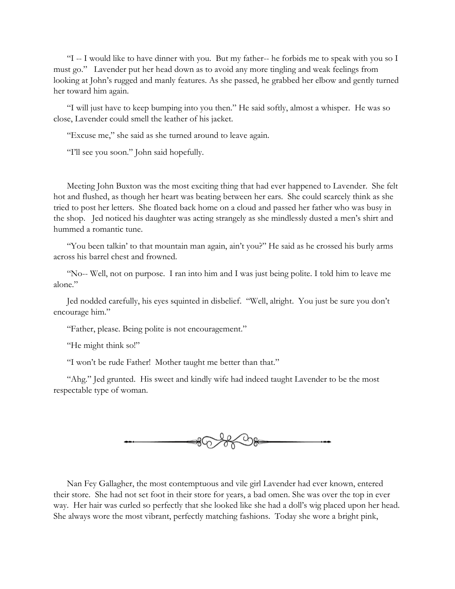"I -- I would like to have dinner with you. But my father-- he forbids me to speak with you so I must go." Lavender put her head down as to avoid any more tingling and weak feelings from looking at John's rugged and manly features. As she passed, he grabbed her elbow and gently turned her toward him again.

"I will just have to keep bumping into you then." He said softly, almost a whisper. He was so close, Lavender could smell the leather of his jacket.

"Excuse me," she said as she turned around to leave again.

"I'll see you soon." John said hopefully.

Meeting John Buxton was the most exciting thing that had ever happened to Lavender. She felt hot and flushed, as though her heart was beating between her ears. She could scarcely think as she tried to post her letters. She floated back home on a cloud and passed her father who was busy in the shop. Jed noticed his daughter was acting strangely as she mindlessly dusted a men's shirt and hummed a romantic tune.

"You been talkin' to that mountain man again, ain't you?" He said as he crossed his burly arms across his barrel chest and frowned.

"No-- Well, not on purpose. I ran into him and I was just being polite. I told him to leave me alone."

Jed nodded carefully, his eyes squinted in disbelief. "Well, alright. You just be sure you don't encourage him."

"Father, please. Being polite is not encouragement."

"He might think so!"

"I won't be rude Father! Mother taught me better than that."

"Ahg." Jed grunted. His sweet and kindly wife had indeed taught Lavender to be the most respectable type of woman.



Nan Fey Gallagher, the most contemptuous and vile girl Lavender had ever known, entered their store. She had not set foot in their store for years, a bad omen. She was over the top in ever way. Her hair was curled so perfectly that she looked like she had a doll's wig placed upon her head. She always wore the most vibrant, perfectly matching fashions. Today she wore a bright pink,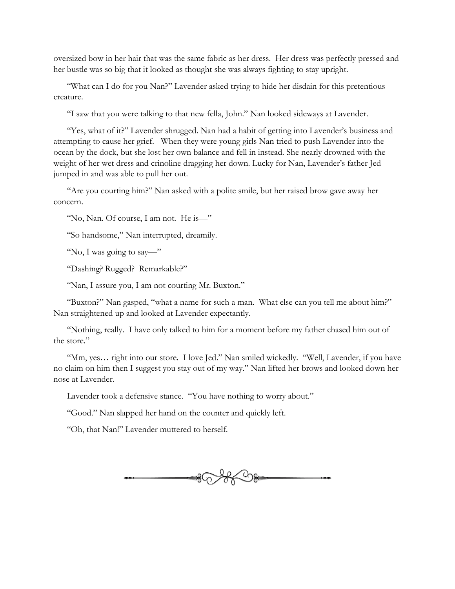oversized bow in her hair that was the same fabric as her dress. Her dress was perfectly pressed and her bustle was so big that it looked as thought she was always fighting to stay upright.

"What can I do for you Nan?" Lavender asked trying to hide her disdain for this pretentious creature.

"I saw that you were talking to that new fella, John." Nan looked sideways at Lavender.

"Yes, what of it?" Lavender shrugged. Nan had a habit of getting into Lavender's business and attempting to cause her grief. When they were young girls Nan tried to push Lavender into the ocean by the dock, but she lost her own balance and fell in instead. She nearly drowned with the weight of her wet dress and crinoline dragging her down. Lucky for Nan, Lavender's father Jed jumped in and was able to pull her out.

"Are you courting him?" Nan asked with a polite smile, but her raised brow gave away her concern.

"No, Nan. Of course, I am not. He is—"

"So handsome," Nan interrupted, dreamily.

"No, I was going to say—"

"Dashing? Rugged? Remarkable?"

"Nan, I assure you, I am not courting Mr. Buxton."

"Buxton?" Nan gasped, "what a name for such a man. What else can you tell me about him?" Nan straightened up and looked at Lavender expectantly.

"Nothing, really. I have only talked to him for a moment before my father chased him out of the store."

"Mm, yes… right into our store. I love Jed." Nan smiled wickedly. "Well, Lavender, if you have no claim on him then I suggest you stay out of my way." Nan lifted her brows and looked down her nose at Lavender.

Lavender took a defensive stance. "You have nothing to worry about."

"Good." Nan slapped her hand on the counter and quickly left.

"Oh, that Nan!" Lavender muttered to herself.

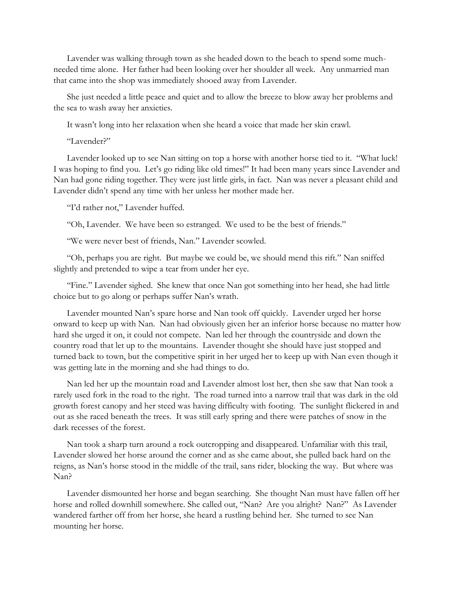Lavender was walking through town as she headed down to the beach to spend some muchneeded time alone. Her father had been looking over her shoulder all week. Any unmarried man that came into the shop was immediately shooed away from Lavender.

She just needed a little peace and quiet and to allow the breeze to blow away her problems and the sea to wash away her anxieties.

It wasn't long into her relaxation when she heard a voice that made her skin crawl.

"Lavender?"

Lavender looked up to see Nan sitting on top a horse with another horse tied to it. "What luck! I was hoping to find you. Let's go riding like old times!" It had been many years since Lavender and Nan had gone riding together. They were just little girls, in fact. Nan was never a pleasant child and Lavender didn't spend any time with her unless her mother made her.

"I'd rather not," Lavender huffed.

"Oh, Lavender. We have been so estranged. We used to be the best of friends."

"We were never best of friends, Nan." Lavender scowled.

"Oh, perhaps you are right. But maybe we could be, we should mend this rift." Nan sniffed slightly and pretended to wipe a tear from under her eye.

"Fine." Lavender sighed. She knew that once Nan got something into her head, she had little choice but to go along or perhaps suffer Nan's wrath.

Lavender mounted Nan's spare horse and Nan took off quickly. Lavender urged her horse onward to keep up with Nan. Nan had obviously given her an inferior horse because no matter how hard she urged it on, it could not compete. Nan led her through the countryside and down the country road that let up to the mountains. Lavender thought she should have just stopped and turned back to town, but the competitive spirit in her urged her to keep up with Nan even though it was getting late in the morning and she had things to do.

Nan led her up the mountain road and Lavender almost lost her, then she saw that Nan took a rarely used fork in the road to the right. The road turned into a narrow trail that was dark in the old growth forest canopy and her steed was having difficulty with footing. The sunlight flickered in and out as she raced beneath the trees. It was still early spring and there were patches of snow in the dark recesses of the forest.

Nan took a sharp turn around a rock outcropping and disappeared. Unfamiliar with this trail, Lavender slowed her horse around the corner and as she came about, she pulled back hard on the reigns, as Nan's horse stood in the middle of the trail, sans rider, blocking the way. But where was Nan?

Lavender dismounted her horse and began searching. She thought Nan must have fallen off her horse and rolled downhill somewhere. She called out, "Nan? Are you alright? Nan?" As Lavender wandered farther off from her horse, she heard a rustling behind her. She turned to see Nan mounting her horse.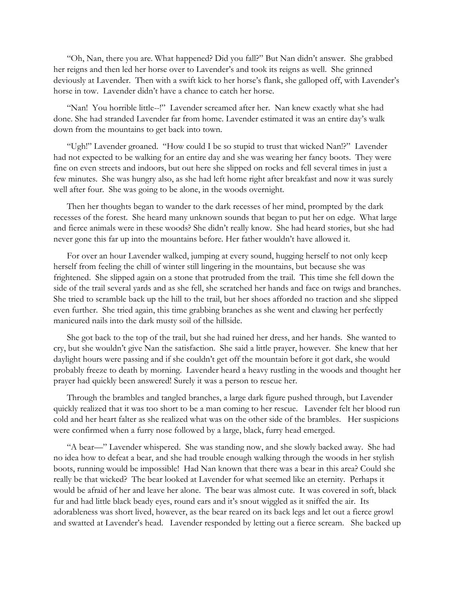"Oh, Nan, there you are. What happened? Did you fall?" But Nan didn't answer. She grabbed her reigns and then led her horse over to Lavender's and took its reigns as well. She grinned deviously at Lavender. Then with a swift kick to her horse's flank, she galloped off, with Lavender's horse in tow. Lavender didn't have a chance to catch her horse.

"Nan! You horrible little--!" Lavender screamed after her. Nan knew exactly what she had done. She had stranded Lavender far from home. Lavender estimated it was an entire day's walk down from the mountains to get back into town.

"Ugh!" Lavender groaned. "How could I be so stupid to trust that wicked Nan!?" Lavender had not expected to be walking for an entire day and she was wearing her fancy boots. They were fine on even streets and indoors, but out here she slipped on rocks and fell several times in just a few minutes. She was hungry also, as she had left home right after breakfast and now it was surely well after four. She was going to be alone, in the woods overnight.

Then her thoughts began to wander to the dark recesses of her mind, prompted by the dark recesses of the forest. She heard many unknown sounds that began to put her on edge. What large and fierce animals were in these woods? She didn't really know. She had heard stories, but she had never gone this far up into the mountains before. Her father wouldn't have allowed it.

For over an hour Lavender walked, jumping at every sound, hugging herself to not only keep herself from feeling the chill of winter still lingering in the mountains, but because she was frightened. She slipped again on a stone that protruded from the trail. This time she fell down the side of the trail several yards and as she fell, she scratched her hands and face on twigs and branches. She tried to scramble back up the hill to the trail, but her shoes afforded no traction and she slipped even further. She tried again, this time grabbing branches as she went and clawing her perfectly manicured nails into the dark musty soil of the hillside.

She got back to the top of the trail, but she had ruined her dress, and her hands. She wanted to cry, but she wouldn't give Nan the satisfaction. She said a little prayer, however. She knew that her daylight hours were passing and if she couldn't get off the mountain before it got dark, she would probably freeze to death by morning. Lavender heard a heavy rustling in the woods and thought her prayer had quickly been answered! Surely it was a person to rescue her.

Through the brambles and tangled branches, a large dark figure pushed through, but Lavender quickly realized that it was too short to be a man coming to her rescue. Lavender felt her blood run cold and her heart falter as she realized what was on the other side of the brambles. Her suspicions were confirmed when a furry nose followed by a large, black, furry head emerged.

"A bear—" Lavender whispered. She was standing now, and she slowly backed away. She had no idea how to defeat a bear, and she had trouble enough walking through the woods in her stylish boots, running would be impossible! Had Nan known that there was a bear in this area? Could she really be that wicked? The bear looked at Lavender for what seemed like an eternity. Perhaps it would be afraid of her and leave her alone. The bear was almost cute. It was covered in soft, black fur and had little black beady eyes, round ears and it's snout wiggled as it sniffed the air. Its adorableness was short lived, however, as the bear reared on its back legs and let out a fierce growl and swatted at Lavender's head. Lavender responded by letting out a fierce scream. She backed up